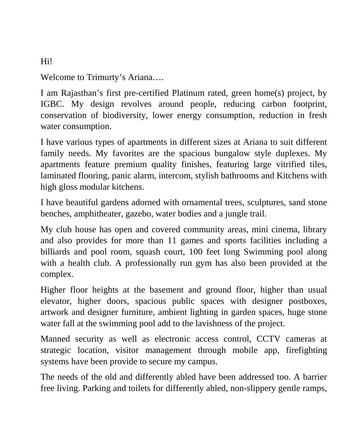## Welcome to Trimurty's Ariana….

I am Rajasthan's first pre-certified Platinum rated, green home(s) project, by IGBC. My design revolves around people, reducing carbon footprint, conservation of biodiversity, lower energy consumption, reduction in fresh water consumption.

I have various types of apartments in different sizes at Ariana to suit different family needs. My favorites are the spacious bungalow style duplexes. My apartments feature premium quality finishes, featuring large vitrified tiles, laminated flooring, panic alarm, intercom, stylish bathrooms and Kitchens with high gloss modular kitchens.

I have beautiful gardens adorned with ornamental trees, sculptures, sand stone benches, amphitheater, gazebo, water bodies and a jungle trail.

My club house has open and covered community areas, mini cinema, library and also provides for more than 11 games and sports facilities including a billiards and pool room, squash court, 100 feet long Swimming pool along with a health club. A professionally run gym has also been provided at the complex.

Higher floor heights at the basement and ground floor, higher than usual elevator, higher doors, spacious public spaces with designer postboxes, artwork and designer furniture, ambient lighting in garden spaces, huge stone water fall at the swimming pool add to the lavishness of the project.

Manned security as well as electronic access control, CCTV cameras at strategic location, visitor management through mobile app, firefighting systems have been provide to secure my campus.

The needs of the old and differently abled have been addressed too. A barrier free living. Parking and toilets for differently abled, non-slippery gentle ramps,

## Hi!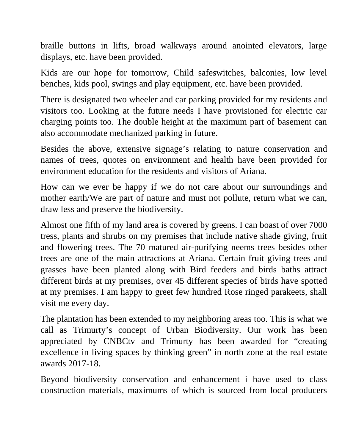braille buttons in lifts, broad walkways around anointed elevators, large displays, etc. have been provided.

Kids are our hope for tomorrow, Child safeswitches, balconies, low level benches, kids pool, swings and play equipment, etc. have been provided.

There is designated two wheeler and car parking provided for my residents and visitors too. Looking at the future needs I have provisioned for electric car charging points too. The double height at the maximum part of basement can also accommodate mechanized parking in future.

Besides the above, extensive signage's relating to nature conservation and names of trees, quotes on environment and health have been provided for environment education for the residents and visitors of Ariana.

How can we ever be happy if we do not care about our surroundings and mother earth/We are part of nature and must not pollute, return what we can, draw less and preserve the biodiversity.

Almost one fifth of my land area is covered by greens. I can boast of over 7000 tress, plants and shrubs on my premises that include native shade giving, fruit and flowering trees. The 70 matured air-purifying neems trees besides other trees are one of the main attractions at Ariana. Certain fruit giving trees and grasses have been planted along with Bird feeders and birds baths attract different birds at my premises, over 45 different species of birds have spotted at my premises. I am happy to greet few hundred Rose ringed parakeets, shall visit me every day.

The plantation has been extended to my neighboring areas too. This is what we call as Trimurty's concept of Urban Biodiversity. Our work has been appreciated by CNBCtv and Trimurty has been awarded for "creating excellence in living spaces by thinking green" in north zone at the real estate awards 2017-18.

Beyond biodiversity conservation and enhancement i have used to class construction materials, maximums of which is sourced from local producers